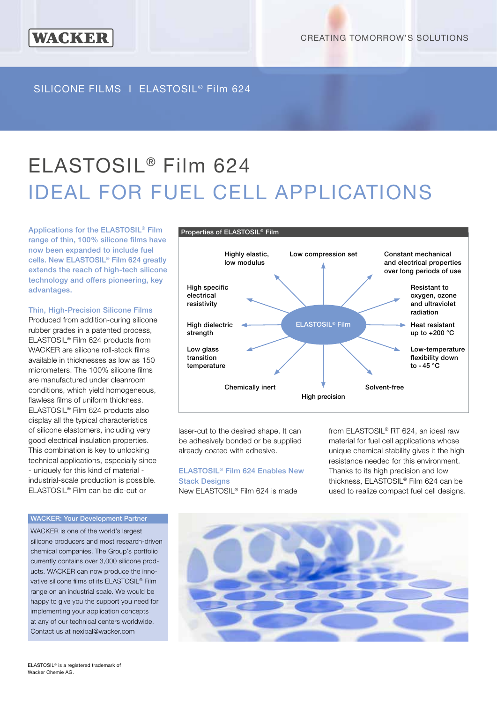## SILICONE FILMS I ELASTOSIL® Film 624

# ELASTOSIL® Film 624 IDEAL FOR FUEL CELL APPLICATIONS

Applications for the ELASTOSIL® Film range of thin, 100% silicone films have now been expanded to include fuel cells. New ELASTOSIL® Film 624 greatly extends the reach of high-tech silicone technology and offers pioneering, key advantages.

**WACKER** 

#### Thin, High-Precision Silicone Films

Produced from addition-curing silicone rubber grades in a patented process, ELASTOSIL® Film 624 products from WACKER are silicone roll-stock films available in thicknesses as low as 150 micrometers. The 100% silicone films are manufactured under cleanroom conditions, which yield homogeneous, flawless films of uniform thickness. ELASTOSIL® Film 624 products also display all the typical characteristics of silicone elastomers, including very good electrical insulation properties. This combination is key to unlocking technical applications, especially since - uniquely for this kind of material industrial-scale production is possible. ELASTOSIL® Film can be die-cut or

#### WACKER: Your Development Partner

WACKER is one of the world's largest silicone producers and most research-driven chemical companies. The Group's portfolio currently contains over 3,000 silicone products. WACKER can now produce the innovative silicone films of its ELASTOSIL® Film range on an industrial scale. We would be happy to give you the support you need for implementing your application concepts at any of our technical centers worldwide. Contact us at nexipal@wacker.com



laser-cut to the desired shape. It can be adhesively bonded or be supplied already coated with adhesive.

### ELASTOSIL® Film 624 Enables New

**Stack Designs** New ELASTOSIL® Film 624 is made

from ELASTOSIL® RT 624, an ideal raw material for fuel cell applications whose unique chemical stability gives it the high resistance needed for this environment. Thanks to its high precision and low thickness, ELASTOSIL® Film 624 can be used to realize compact fuel cell designs.